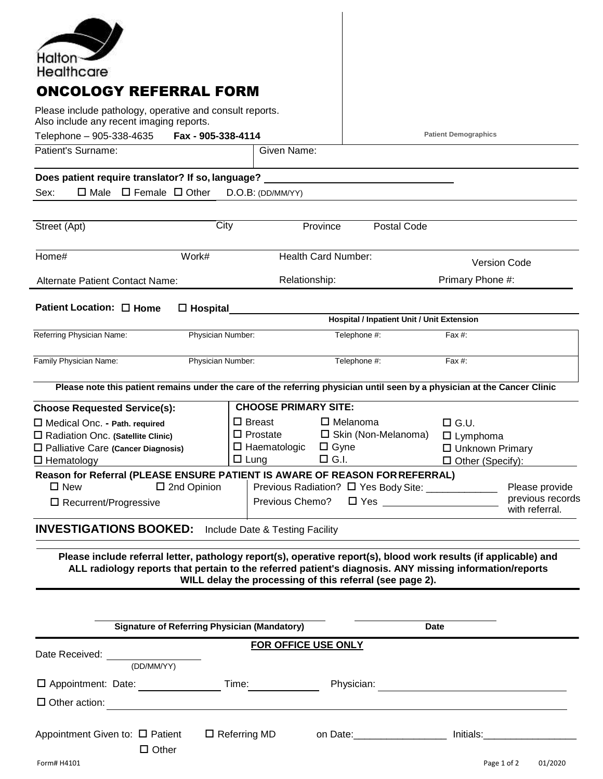| Halton-                                                                                                                                                                                                                     |                                                                              |                                            |                             |                                    |
|-----------------------------------------------------------------------------------------------------------------------------------------------------------------------------------------------------------------------------|------------------------------------------------------------------------------|--------------------------------------------|-----------------------------|------------------------------------|
| Healthcare                                                                                                                                                                                                                  |                                                                              |                                            |                             |                                    |
| <b>ONCOLOGY REFERRAL FORM</b>                                                                                                                                                                                               |                                                                              |                                            |                             |                                    |
| Please include pathology, operative and consult reports.                                                                                                                                                                    |                                                                              |                                            |                             |                                    |
| Also include any recent imaging reports.                                                                                                                                                                                    |                                                                              |                                            |                             |                                    |
| Telephone - 905-338-4635<br>Fax - 905-338-4114<br>Patient's Surname:                                                                                                                                                        | Given Name:                                                                  |                                            | <b>Patient Demographics</b> |                                    |
|                                                                                                                                                                                                                             |                                                                              |                                            |                             |                                    |
| Does patient require translator? If so, language?                                                                                                                                                                           |                                                                              |                                            |                             |                                    |
| $\Box$ Male $\Box$ Female $\Box$ Other<br>Sex:                                                                                                                                                                              | D.O.B: (DD/MM/YY)                                                            |                                            |                             |                                    |
|                                                                                                                                                                                                                             |                                                                              |                                            |                             |                                    |
| City<br>Street (Apt)                                                                                                                                                                                                        | Province                                                                     | Postal Code                                |                             |                                    |
| Home#<br>Work#                                                                                                                                                                                                              | <b>Health Card Number:</b>                                                   |                                            |                             |                                    |
|                                                                                                                                                                                                                             |                                                                              |                                            | <b>Version Code</b>         |                                    |
| <b>Alternate Patient Contact Name:</b>                                                                                                                                                                                      | Relationship:                                                                |                                            | Primary Phone #:            |                                    |
| Patient Location: □ Home<br>$\Box$ Hospital                                                                                                                                                                                 |                                                                              |                                            |                             |                                    |
|                                                                                                                                                                                                                             |                                                                              | Hospital / Inpatient Unit / Unit Extension |                             |                                    |
| Referring Physician Name:<br>Physician Number:                                                                                                                                                                              |                                                                              | Telephone #:                               | Fax #:                      |                                    |
| Family Physician Name:<br>Physician Number:                                                                                                                                                                                 |                                                                              | Telephone #:                               | Fax #:                      |                                    |
| Please note this patient remains under the care of the referring physician until seen by a physician at the Cancer Clinic                                                                                                   |                                                                              |                                            |                             |                                    |
| <b>Choose Requested Service(s):</b>                                                                                                                                                                                         | <b>CHOOSE PRIMARY SITE:</b>                                                  |                                            |                             |                                    |
| $\Box$ Medical Onc. - Path. required                                                                                                                                                                                        | $\square$ Breast                                                             | $\Box$ Melanoma                            | $\square$ G.U.              |                                    |
| □ Radiation Onc. (Satellite Clinic)                                                                                                                                                                                         | $\Box$ Prostate                                                              | $\square$ Skin (Non-Melanoma)              | $\Box$ Lymphoma             |                                    |
| $\square$ Palliative Care (Cancer Diagnosis)<br>$\square$ Hematology                                                                                                                                                        | $\Box$ Haematologic<br>$\Box$ Lung                                           | $\Box$ Gyne<br>$\Box$ G.I.                 | $\Box$ Unknown Primary      | □ Other (Specify):                 |
| Reason for Referral (PLEASE ENSURE PATIENT IS AWARE OF REASON FOR REFERRAL)                                                                                                                                                 |                                                                              |                                            |                             |                                    |
| $\square$ New                                                                                                                                                                                                               | $\square$ 2nd Opinion<br>Previous Radiation? □ Yes Body Site: ______________ |                                            |                             | Please provide                     |
| $\square$ Recurrent/Progressive                                                                                                                                                                                             | Previous Chemo?                                                              |                                            |                             | previous records<br>with referral. |
|                                                                                                                                                                                                                             |                                                                              |                                            |                             |                                    |
| <b>INVESTIGATIONS BOOKED:</b> Include Date & Testing Facility                                                                                                                                                               |                                                                              |                                            |                             |                                    |
| Please include referral letter, pathology report(s), operative report(s), blood work results (if applicable) and<br>ALL radiology reports that pertain to the referred patient's diagnosis. ANY missing information/reports | WILL delay the processing of this referral (see page 2).                     |                                            |                             |                                    |
|                                                                                                                                                                                                                             |                                                                              |                                            |                             |                                    |
| <b>Signature of Referring Physician (Mandatory)</b>                                                                                                                                                                         |                                                                              |                                            | Date                        |                                    |
|                                                                                                                                                                                                                             |                                                                              |                                            |                             |                                    |
| Date Received:<br>(DD/MM/YY)                                                                                                                                                                                                | FOR OFFICE USE ONLY                                                          |                                            |                             |                                    |
| □ Appointment: Date: Time:                                                                                                                                                                                                  | Physician: <u>_______________________________</u>                            |                                            |                             |                                    |
| $\Box$ Other action:                                                                                                                                                                                                        |                                                                              |                                            |                             |                                    |
| Appointment Given to: $\Box$ Patient<br>$\Box$ Other                                                                                                                                                                        | $\Box$ Referring MD                                                          |                                            |                             |                                    |